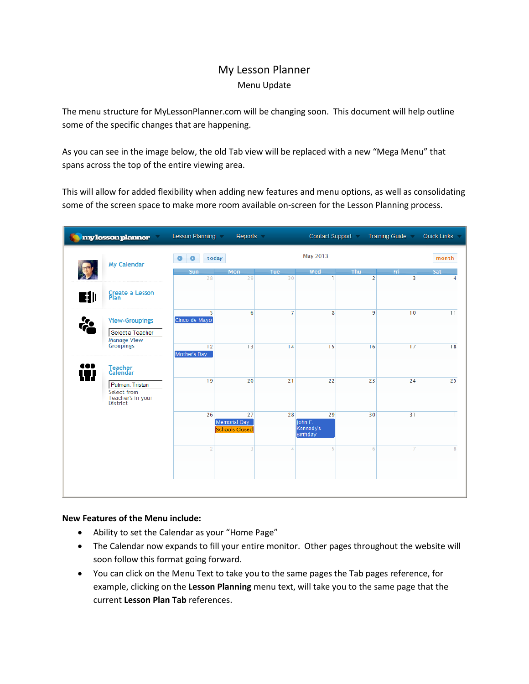## My Lesson Planner Menu Update

The menu structure for MyLessonPlanner.com will be changing soon. This document will help outline some of the specific changes that are happening.

As you can see in the image below, the old Tab view will be replaced with a new "Mega Menu" that spans across the top of the entire viewing area.

This will allow for added flexibility when adding new features and menu options, as well as consolidating some of the screen space to make more room available on-screen for the Lesson Planning process.

|         | my lesson planner                                                                             | Lesson Planning    | Reports -                                   |           | Contact Support                        |                       | <b>Training Guide</b> | Quick Links |
|---------|-----------------------------------------------------------------------------------------------|--------------------|---------------------------------------------|-----------|----------------------------------------|-----------------------|-----------------------|-------------|
|         | My Calendar                                                                                   | today<br>$\bullet$ |                                             |           | May 2013                               |                       |                       | month       |
|         |                                                                                               | Sun<br>28          | Mon<br>29                                   | Tue<br>30 | Wed<br>T                               | Thu<br>$\overline{2}$ | Fri<br>3              | Sat<br>4    |
| EU      | Create a Lesson<br>Plan                                                                       |                    |                                             |           |                                        |                       |                       |             |
| r.<br>1 | <b>View-Groupings</b><br>Select a Teacher                                                     | 5<br>Cinco de Mayo | 6                                           | 7         | 8                                      | 9                     | 10                    | 11          |
|         | Manage View<br>Groupings                                                                      | 12<br>Mother's Day | 13                                          | 14        | 15                                     | 16                    | 17                    | 18          |
| top     | <b>Teacher</b><br>Calendar<br>Putman, Tristan<br>Select from<br>Teacher's in your<br>District | 19                 | 20                                          | 21        | 22                                     | 23                    | 24                    | 25          |
|         |                                                                                               | 26                 | 27<br>Memorial Day<br><b>Schools Closed</b> | 28        | 29<br>John F.<br>Kennedy's<br>Birthday | 30                    | 31                    |             |
|         |                                                                                               | $\overline{2}$     | 3                                           | 4         | 5                                      | 6                     |                       | 8           |
|         |                                                                                               |                    |                                             |           |                                        |                       |                       |             |

## **New Features of the Menu include:**

- Ability to set the Calendar as your "Home Page"
- The Calendar now expands to fill your entire monitor. Other pages throughout the website will soon follow this format going forward.
- You can click on the Menu Text to take you to the same pages the Tab pages reference, for example, clicking on the **Lesson Planning** menu text, will take you to the same page that the current **Lesson Plan Tab** references.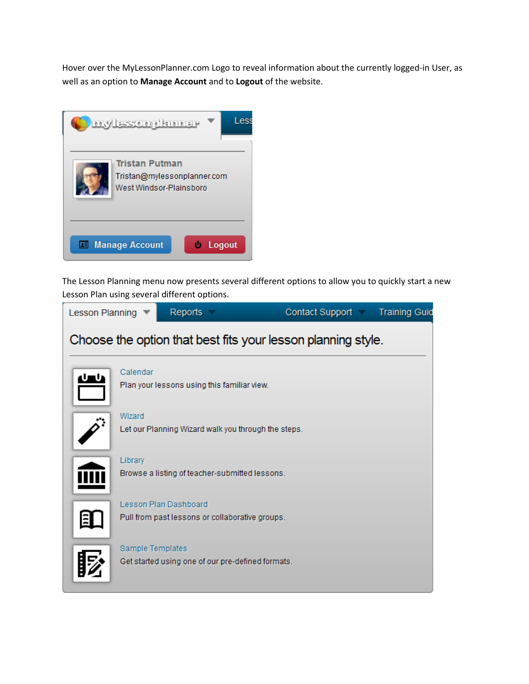Hover over the MyLessonPlanner.com Logo to reveal information about the currently logged-in User, as well as an option to **Manage Account** and to **Logout** of the website.



The Lesson Planning menu now presents several different options to allow you to quickly start a new Lesson Plan using several different options.

| <b>Lesson Planning</b>                                       |                  | Reports                                                                  | Contact Support | <b>Training Guid</b> |
|--------------------------------------------------------------|------------------|--------------------------------------------------------------------------|-----------------|----------------------|
| Choose the option that best fits your lesson planning style. |                  |                                                                          |                 |                      |
|                                                              | Calendar         | Plan your lessons using this familiar view.                              |                 |                      |
|                                                              | Wizard           | Let our Planning Wizard walk you through the steps.                      |                 |                      |
|                                                              | Library          | Browse a listing of teacher-submitted lessons.                           |                 |                      |
|                                                              |                  | Lesson Plan Dashboard<br>Pull from past lessons or collaborative groups. |                 |                      |
|                                                              | Sample Templates | Get started using one of our pre-defined formats.                        |                 |                      |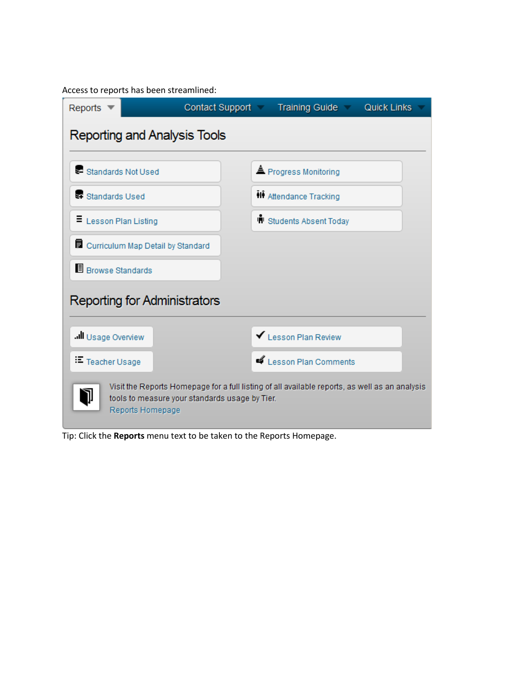Access to reports has been streamlined:

| Reports $\sqrt$                                                                                                                                                             |  |                                 | Contact Support Training Guide Quick Links |  |  |  |
|-----------------------------------------------------------------------------------------------------------------------------------------------------------------------------|--|---------------------------------|--------------------------------------------|--|--|--|
| Reporting and Analysis Tools                                                                                                                                                |  |                                 |                                            |  |  |  |
| Standards Not Used                                                                                                                                                          |  |                                 | ▲ Progress Monitoring                      |  |  |  |
| Standards Used                                                                                                                                                              |  | <b>II</b> Attendance Tracking   |                                            |  |  |  |
| E Lesson Plan Listing                                                                                                                                                       |  | <b>IN</b> Students Absent Today |                                            |  |  |  |
| Curriculum Map Detail by Standard                                                                                                                                           |  |                                 |                                            |  |  |  |
| Browse Standards                                                                                                                                                            |  |                                 |                                            |  |  |  |
| Reporting for Administrators                                                                                                                                                |  |                                 |                                            |  |  |  |
| <b>Ill</b> Usage Overview                                                                                                                                                   |  |                                 | Lesson Plan Review                         |  |  |  |
| Teacher Usage                                                                                                                                                               |  |                                 | Lesson Plan Comments                       |  |  |  |
| Visit the Reports Homepage for a full listing of all available reports, as well as an analysis<br>tools to measure your standards usage by Tier.<br><b>Reports Homepage</b> |  |                                 |                                            |  |  |  |

Tip: Click the **Reports** menu text to be taken to the Reports Homepage.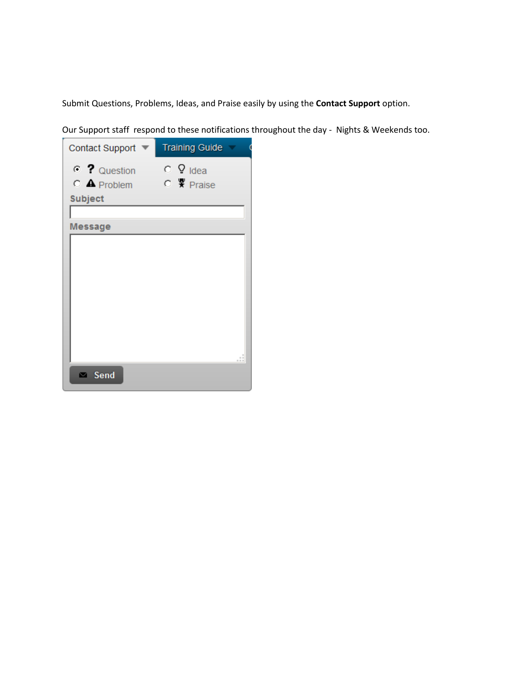Submit Questions, Problems, Ideas, and Praise easily by using the **Contact Support** option.

Our Support staff respond to these notifications throughout the day - Nights & Weekends too.

| <b>Contact Support</b>                                           | <b>Training Guide</b>                            |  |  |  |
|------------------------------------------------------------------|--------------------------------------------------|--|--|--|
| $\circ$ ? Question<br>$\circ$ <b>A</b> Problem<br><b>Subject</b> | $\circ$ $\circ$ Idea<br>$C \times \text{Praise}$ |  |  |  |
| <b>Message</b>                                                   |                                                  |  |  |  |
|                                                                  |                                                  |  |  |  |
|                                                                  |                                                  |  |  |  |
|                                                                  |                                                  |  |  |  |
| $\bowtie$ Send                                                   | $=$<br>$= 100$                                   |  |  |  |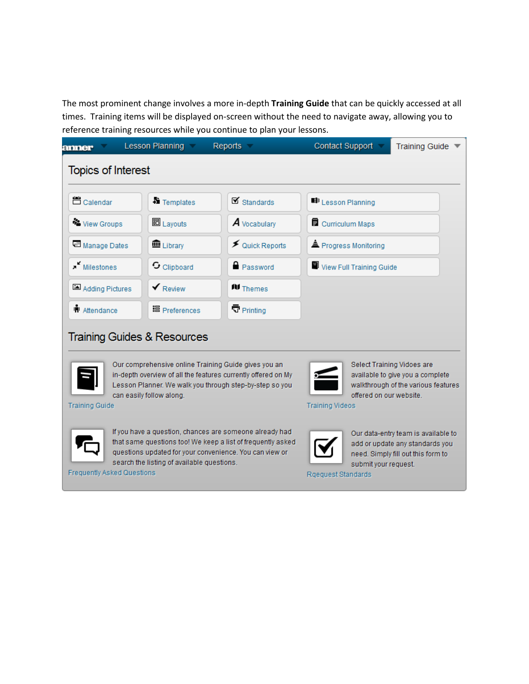The most prominent change involves a more in-depth **Training Guide** that can be quickly accessed at all times. Training items will be displayed on-screen without the need to navigate away, allowing you to reference training resources while you continue to plan your lessons.



**Frequently Asked Questions** 

Rqequest Standards